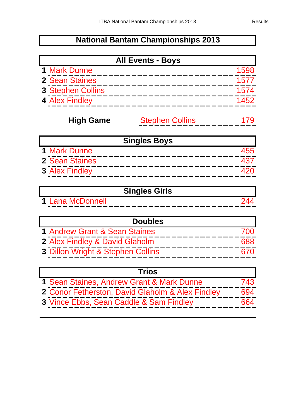## **National Bantam Championships 2013**

| <b>All Events - Boys</b> |      |
|--------------------------|------|
| <b>1 Mark Dunne</b>      | 1598 |
| 2 Sean Staines           | 1577 |
| <b>3 Stephen Collins</b> | 1574 |
| 4 Alex Findley           | 1452 |

## Stephen Collins 179 **High Game**

| <b>Singles Boys</b>   |  |
|-----------------------|--|
| <b>1 Mark Dunne</b>   |  |
| 2 Sean Staines        |  |
| <b>3 Alex Findley</b> |  |

|                                             | <b>Singles Girls</b>                                                            |
|---------------------------------------------|---------------------------------------------------------------------------------|
| 1 I ana McDonnell<br>.<br>____<br>--<br>- - | __<br>___<br>__________<br>_ _ _<br>___<br>__<br>--<br>—<br>−<br>--<br>--<br>-- |

| <b>Doubles</b>                    |  |
|-----------------------------------|--|
| 1 Andrew Grant & Sean Staines     |  |
| 2 Alex Findley & David Glaholm    |  |
| 3 Dillon Wright & Stephen Collins |  |

| <b>Trios</b>                                     |      |
|--------------------------------------------------|------|
| 1 Sean Staines, Andrew Grant & Mark Dunne        | 743. |
| 2 Conor Fetherston, David Glaholm & Alex Findley |      |
| 3 Vince Ebbs, Sean Caddle & Sam Findley          |      |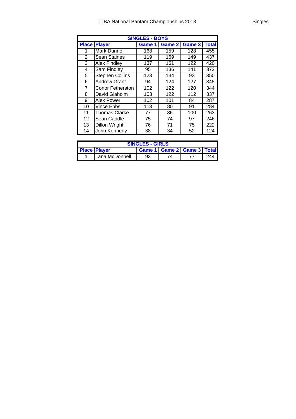| <b>SINGLES - BOYS</b> |                                                             |     |     |     |     |  |  |  |
|-----------------------|-------------------------------------------------------------|-----|-----|-----|-----|--|--|--|
| <b>Place</b>          | Game 2<br>Game 3<br><b>Total</b><br><b>Player</b><br>Game 1 |     |     |     |     |  |  |  |
| 1                     | Mark Dunne                                                  | 168 | 159 | 128 | 455 |  |  |  |
| 2                     | <b>Sean Staines</b>                                         | 119 | 169 | 149 | 437 |  |  |  |
| 3                     | <b>Alex Findley</b>                                         | 137 | 161 | 122 | 420 |  |  |  |
| 4                     | Sam Findley                                                 | 95  | 136 | 141 | 372 |  |  |  |
| 5                     | <b>Stephen Collins</b>                                      | 123 | 134 | 93  | 350 |  |  |  |
| 6                     | <b>Andrew Grant</b>                                         | 94  | 124 | 127 | 345 |  |  |  |
| 7                     | <b>Conor Fetherston</b>                                     | 102 | 122 | 120 | 344 |  |  |  |
| 8                     | David Glaholm                                               | 103 | 122 | 112 | 337 |  |  |  |
| 9                     | Alex Power                                                  | 102 | 101 | 84  | 287 |  |  |  |
| 10                    | Vince Ebbs                                                  | 113 | 80  | 91  | 284 |  |  |  |
| 11                    | <b>Thomas Clarke</b>                                        | 77  | 86  | 100 | 263 |  |  |  |
| 12                    | Sean Caddle                                                 | 75  | 74  | 97  | 246 |  |  |  |
| 13                    | Dillon Wright                                               | 76  | 71  | 75  | 222 |  |  |  |
| 14                    | John Kennedy                                                | 38  | 34  | 52  | 124 |  |  |  |

| <b>SINGLES - GIRLS</b> |                                                          |  |  |  |  |  |  |
|------------------------|----------------------------------------------------------|--|--|--|--|--|--|
|                        | <b>Game 1 Game 2 Game 3 Total</b><br><b>Place Player</b> |  |  |  |  |  |  |
|                        | <b>ILana McDonnell</b><br>ን44<br>93<br>74                |  |  |  |  |  |  |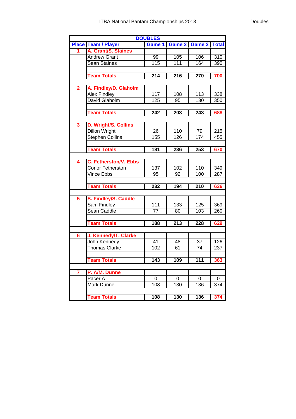|                         |                              | <b>DOUBLES</b>  |          |                  |              |
|-------------------------|------------------------------|-----------------|----------|------------------|--------------|
|                         | <b>Place Team / Player</b>   | Game 1          |          | Game 2 Game 3    | <b>Total</b> |
|                         | A. Grant/S. Staines          |                 |          |                  |              |
|                         | <b>Andrew Grant</b>          | 99              | 105      | 106              | 310          |
|                         | <b>Sean Staines</b>          | 115             | 111      | 164              | 390          |
|                         |                              |                 |          |                  |              |
|                         | <b>Team Totals</b>           | 214             | 216      | 270              | 700          |
|                         |                              |                 |          |                  |              |
| $\mathbf{2}$            | A. Findley/D. Glaholm        |                 |          |                  |              |
|                         | <b>Alex Findley</b>          | 117             | 108      | 113              | 338          |
|                         | David Glaholm                | 125             | 95       | 130              | 350          |
|                         |                              |                 |          |                  |              |
|                         | <b>Team Totals</b>           | 242             | 203      | 243              | 688          |
|                         |                              |                 |          |                  |              |
| 3                       | D. Wright/S. Collins         |                 |          |                  |              |
|                         | <b>Dillon Wright</b>         | 26              | 110      | 79               | 215          |
|                         | <b>Stephen Collins</b>       | 155             | 126      | $\overline{174}$ | 455          |
|                         |                              |                 |          |                  |              |
|                         | <b>Team Totals</b>           | 181             | 236      | 253              | 670          |
|                         |                              |                 |          |                  |              |
| $\overline{\mathbf{4}}$ | <b>C. Fetherston/V. Ebbs</b> |                 |          |                  |              |
|                         | <b>Conor Fetherston</b>      | 137             | 102      | 110              | 349          |
|                         | <b>Vince Ebbs</b>            | 95              | 92       | 100              | 287          |
|                         |                              |                 |          |                  |              |
|                         | <b>Team Totals</b>           | 232             | 194      | 210              | 636          |
|                         |                              |                 |          |                  |              |
| 5                       | S. Findley/S. Caddle         |                 |          |                  |              |
|                         | Sam Findley                  | 111             | 133      | 125              | 369          |
|                         | Sean Caddle                  | $\overline{77}$ | 80       | 103              | 260          |
|                         |                              |                 |          |                  |              |
|                         | <b>Team Totals</b>           | 188             | 213      | 228              | 629          |
|                         |                              |                 |          |                  |              |
| 6                       | J. Kennedy/T. Clarke         |                 |          |                  |              |
|                         | John Kennedy                 | 41              | 48       | 37               | 126          |
|                         | <b>Thomas Clarke</b>         | 102             | 61       | 74               | 237          |
|                         |                              |                 |          |                  |              |
|                         | <b>Team Totals</b>           | 143             | 109      | 111              | 363          |
|                         |                              |                 |          |                  |              |
| $\overline{7}$          | P. A/M. Dunne                |                 |          |                  |              |
|                         | Pacer A                      | $\Omega$        | $\Omega$ | 0                | 0            |
|                         | Mark Dunne                   | 108             | 130      | 136              | 374          |
|                         |                              |                 |          |                  |              |
|                         | <b>Team Totals</b>           | 108             | 130      | 136              | 374          |
|                         |                              |                 |          |                  |              |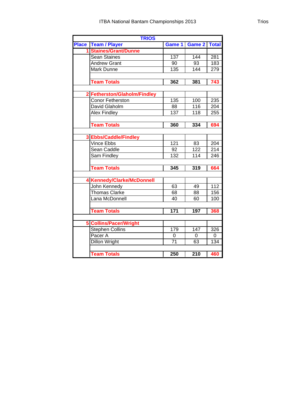| <b>TRIOS</b> |                                 |                  |                  |                  |  |
|--------------|---------------------------------|------------------|------------------|------------------|--|
| <b>Place</b> | <b>Team / Player</b>            | Game 1           | Game 2           | <b>Total</b>     |  |
|              | 1 Staines/Grant/Dunne           |                  |                  |                  |  |
|              | Sean Staines                    | 137              | 144              | 281              |  |
|              | <b>Andrew Grant</b>             | 90               | 93               | 183              |  |
|              | Mark Dunne                      | 135              | 144              | 279              |  |
|              |                                 |                  |                  |                  |  |
|              | <b>Team Totals</b>              | 362              | 381              | 743              |  |
|              |                                 |                  |                  |                  |  |
|              | 2 Fetherston/Glaholm/Findley    |                  |                  |                  |  |
|              | Conor Fetherston                | 135              | 100              | 235              |  |
|              | David Glaholm                   | 88               | 116              | 204              |  |
|              | <b>Alex Findley</b>             | 137              | 118              | 255              |  |
|              |                                 |                  |                  |                  |  |
|              | <b>Team Totals</b>              | 360              | 334              | 694              |  |
|              |                                 |                  |                  |                  |  |
|              | 3 Ebbs/Caddle/Findley           |                  |                  |                  |  |
|              | <b>Vince Ebbs</b>               | 121              | 83               | 204              |  |
|              | Sean Caddle                     | 92               | 122              | $\overline{214}$ |  |
|              | <b>Sam Findley</b>              | 132              | 114              | 246              |  |
|              |                                 |                  |                  |                  |  |
|              | <b>Team Totals</b>              | 345              | 319              | 664              |  |
|              |                                 |                  |                  |                  |  |
|              | <b>Kennedy/Clarke/McDonnell</b> |                  |                  |                  |  |
|              | John Kennedy                    | 63               | 49               | $\overline{112}$ |  |
|              | <b>Thomas Clarke</b>            | 68               | 88               | 156              |  |
|              | Lana McDonnell                  | 40               | 60               | 100              |  |
|              |                                 |                  |                  |                  |  |
|              | <b>Team Totals</b>              | 171              | 197              | 368              |  |
|              |                                 |                  |                  |                  |  |
|              | <b>Collins/Pacer/Wright</b>     |                  |                  |                  |  |
|              | <b>Stephen Collins</b>          | 179              | 147              | 326              |  |
|              | Pacer A                         | 0                | 0                | 0                |  |
|              | <b>Dillon Wright</b>            | 71               | 63               | 134              |  |
|              |                                 |                  |                  |                  |  |
|              | <b>Team Totals</b>              | $\overline{250}$ | $\overline{210}$ | 460              |  |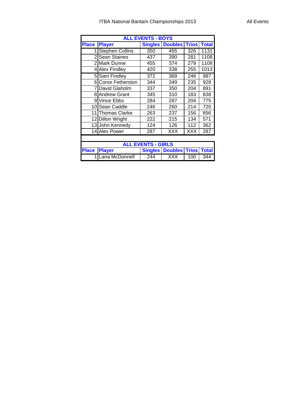## ITBA National Bantam Championships 2013 All Events

| <b>ALL EVENTS - BOYS</b>  |                         |                |                                    |              |              |
|---------------------------|-------------------------|----------------|------------------------------------|--------------|--------------|
| <b>Place</b>              | <b>Player</b>           | <b>Singles</b> | <b>Doubles</b>                     | <b>Trios</b> | <b>Total</b> |
| 1                         | <b>Stephen Collins</b>  | 350            | 455                                | 326          | 1131         |
|                           | 2 Sean Staines          | 437            | 390                                | 281          | 1108         |
|                           | 2 Mark Dunne            | 455            | 374                                | 279          | 1108         |
|                           | 4 Alex Findley          | 420            | 338                                | 255          | 1013         |
|                           | 5 Sam Findley           | 372            | 369                                | 246          | 987          |
| 61                        | <b>Conor Fetherston</b> | 344            | 349                                | 235          | 928          |
| $\overline{7}$            | David Glaholm           | 337            | 350                                | 204          | 891          |
|                           | <b>8</b> Andrew Grant   | 345            | 310                                | 183          | 838          |
|                           | 9 Vince Ebbs            | 284            | 287                                | 204          | 775          |
|                           | 10 Sean Caddle          | 246            | 260                                | 214          | 720          |
| 11                        | <b>Thomas Clarke</b>    | 263            | 237                                | 156          | 656          |
|                           | 12 Dillon Wright        | 222            | 215                                | 134          | 571          |
|                           | 13 John Kennedy         | 124            | 126                                | 112          | 362          |
|                           | 14 Alex Power           | 287            | XXX                                | <b>XXX</b>   | 287          |
|                           |                         |                |                                    |              |              |
| <b>ALL EVENTS - GIRLS</b> |                         |                |                                    |              |              |
| <b>Place</b>              | <b>Player</b>           |                | <b>Singles   Doubles   Trios  </b> |              | <b>Total</b> |
|                           | Lana McDonnell          | 244            | XXX                                | 100          | 344          |